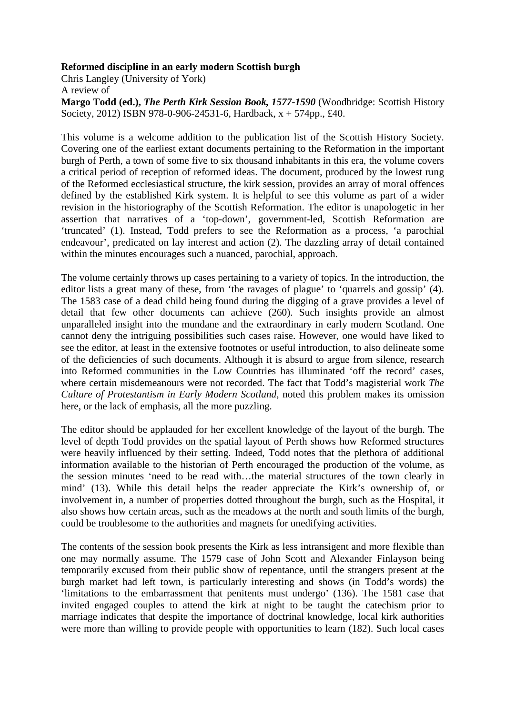## **Reformed discipline in an early modern Scottish burgh**

Chris Langley (University of York) A review of

**Margo Todd (ed.),** *The Perth Kirk Session Book, 1577-1590* (Woodbridge: Scottish History Society, 2012) ISBN 978-0-906-24531-6, Hardback, x + 574pp., £40.

This volume is a welcome addition to the publication list of the Scottish History Society. Covering one of the earliest extant documents pertaining to the Reformation in the important burgh of Perth, a town of some five to six thousand inhabitants in this era, the volume covers a critical period of reception of reformed ideas. The document, produced by the lowest rung of the Reformed ecclesiastical structure, the kirk session, provides an array of moral offences defined by the established Kirk system. It is helpful to see this volume as part of a wider revision in the historiography of the Scottish Reformation. The editor is unapologetic in her assertion that narratives of a 'top-down', government-led, Scottish Reformation are 'truncated' (1). Instead, Todd prefers to see the Reformation as a process, 'a parochial endeavour', predicated on lay interest and action (2). The dazzling array of detail contained within the minutes encourages such a nuanced, parochial, approach.

The volume certainly throws up cases pertaining to a variety of topics. In the introduction, the editor lists a great many of these, from 'the ravages of plague' to 'quarrels and gossip' (4). The 1583 case of a dead child being found during the digging of a grave provides a level of detail that few other documents can achieve (260). Such insights provide an almost unparalleled insight into the mundane and the extraordinary in early modern Scotland. One cannot deny the intriguing possibilities such cases raise. However, one would have liked to see the editor, at least in the extensive footnotes or useful introduction, to also delineate some of the deficiencies of such documents. Although it is absurd to argue from silence, research into Reformed communities in the Low Countries has illuminated 'off the record' cases, where certain misdemeanours were not recorded. The fact that Todd's magisterial work *The Culture of Protestantism in Early Modern Scotland*, noted this problem makes its omission here, or the lack of emphasis, all the more puzzling.

The editor should be applauded for her excellent knowledge of the layout of the burgh. The level of depth Todd provides on the spatial layout of Perth shows how Reformed structures were heavily influenced by their setting. Indeed, Todd notes that the plethora of additional information available to the historian of Perth encouraged the production of the volume, as the session minutes 'need to be read with…the material structures of the town clearly in mind' (13). While this detail helps the reader appreciate the Kirk's ownership of, or involvement in, a number of properties dotted throughout the burgh, such as the Hospital, it also shows how certain areas, such as the meadows at the north and south limits of the burgh, could be troublesome to the authorities and magnets for unedifying activities.

The contents of the session book presents the Kirk as less intransigent and more flexible than one may normally assume. The 1579 case of John Scott and Alexander Finlayson being temporarily excused from their public show of repentance, until the strangers present at the burgh market had left town, is particularly interesting and shows (in Todd's words) the 'limitations to the embarrassment that penitents must undergo' (136). The 1581 case that invited engaged couples to attend the kirk at night to be taught the catechism prior to marriage indicates that despite the importance of doctrinal knowledge, local kirk authorities were more than willing to provide people with opportunities to learn (182). Such local cases